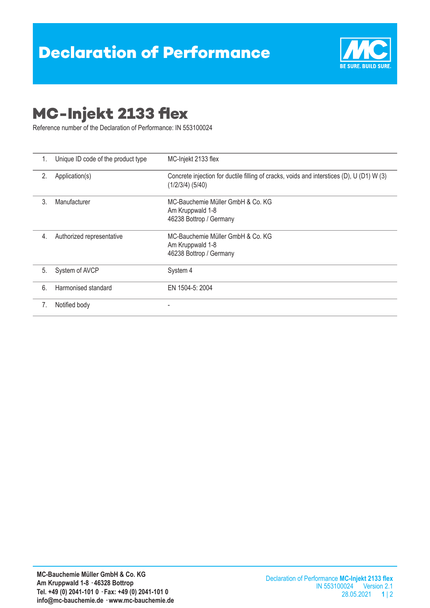

## **MC-Injekt 2133 flex**

Reference number of the Declaration of Performance: IN 553100024

| 1. | Unique ID code of the product type | MC-Injekt 2133 flex                                                                                             |  |
|----|------------------------------------|-----------------------------------------------------------------------------------------------------------------|--|
| 2. | Application(s)                     | Concrete injection for ductile filling of cracks, voids and interstices (D), U (D1) W (3)<br>$(1/2/3/4)$ (5/40) |  |
| 3. | Manufacturer                       | MC-Bauchemie Müller GmbH & Co. KG<br>Am Kruppwald 1-8<br>46238 Bottrop / Germany                                |  |
| 4. | Authorized representative          | MC-Bauchemie Müller GmbH & Co. KG<br>Am Kruppwald 1-8<br>46238 Bottrop / Germany                                |  |
| 5. | System of AVCP                     | System 4                                                                                                        |  |
| 6. | Harmonised standard                | EN 1504-5: 2004                                                                                                 |  |
| 7. | Notified body                      |                                                                                                                 |  |